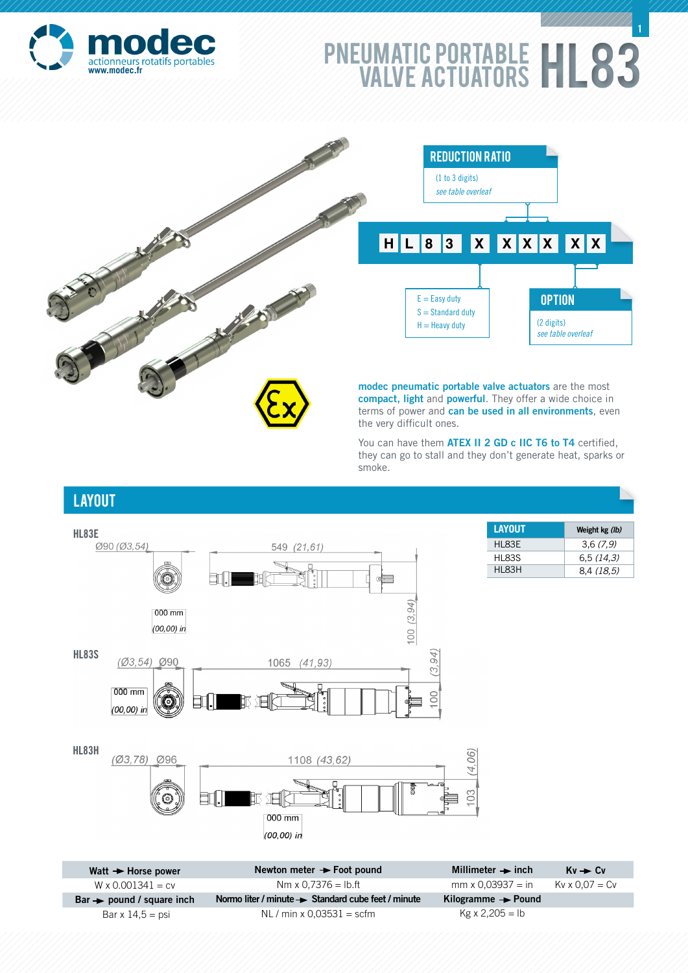

## PNEUMATIC PORTABLE | | | 83 www.modec.fr<br>WALVE ACTUATORS **1**



You can have them **ATEX II 2 GD c IIC T6 to T4** certified, they can go to stall and they don't generate heat, sparks or smoke.